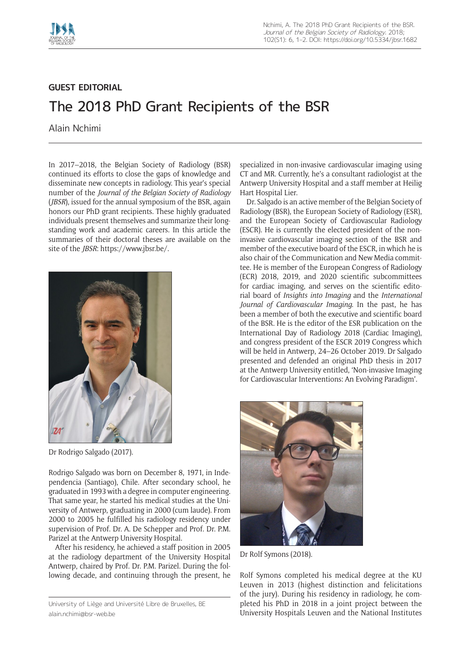

## **GUEST EDITORIAL**

## The 2018 PhD Grant Recipients of the BSR

Alain Nchimi

In 2017–2018, the Belgian Society of Radiology (BSR) continued its efforts to close the gaps of knowledge and disseminate new concepts in radiology. This year's special number of the *Journal of the Belgian Society of Radiology* (*JBSR*), issued for the annual symposium of the BSR, again honors our PhD grant recipients. These highly graduated individuals present themselves and summarize their longstanding work and academic careers. In this article the summaries of their doctoral theses are available on the site of the *JBSR*: [https://www.jbsr.be/.](https://www.jbsr.be/)



Dr Rodrigo Salgado (2017).

Rodrigo Salgado was born on December 8, 1971, in Independencia (Santiago), Chile. After secondary school, he graduated in 1993 with a degree in computer engineering. That same year, he started his medical studies at the University of Antwerp, graduating in 2000 (cum laude). From 2000 to 2005 he fulfilled his radiology residency under supervision of Prof. Dr. A. De Schepper and Prof. Dr. P.M. Parizel at the Antwerp University Hospital.

After his residency, he achieved a staff position in 2005 at the radiology department of the University Hospital Antwerp, chaired by Prof. Dr. P.M. Parizel. During the following decade, and continuing through the present, he specialized in non-invasive cardiovascular imaging using CT and MR. Currently, he's a consultant radiologist at the Antwerp University Hospital and a staff member at Heilig Hart Hospital Lier.

Dr. Salgado is an active member of the Belgian Society of Radiology (BSR), the European Society of Radiology (ESR), and the European Society of Cardiovascular Radiology (ESCR). He is currently the elected president of the noninvasive cardiovascular imaging section of the BSR and member of the executive board of the ESCR, in which he is also chair of the Communication and New Media committee. He is member of the European Congress of Radiology (ECR) 2018, 2019, and 2020 scientific subcommittees for cardiac imaging, and serves on the scientific editorial board of *Insights into Imaging* and the *International Journal of Cardiovascular Imaging*. In the past, he has been a member of both the executive and scientific board of the BSR. He is the editor of the ESR publication on the International Day of Radiology 2018 (Cardiac Imaging), and congress president of the ESCR 2019 Congress which will be held in Antwerp, 24–26 October 2019. Dr Salgado presented and defended an original PhD thesis in 2017 at the Antwerp University entitled, 'Non-invasive Imaging for Cardiovascular Interventions: An Evolving Paradigm'.



Dr Rolf Symons (2018).

Rolf Symons completed his medical degree at the KU Leuven in 2013 (highest distinction and felicitations of the jury). During his residency in radiology, he completed his PhD in 2018 in a joint project between the University Hospitals Leuven and the National Institutes

University of Liège and Université Libre de Bruxelles, BE [alain.nchimi@bsr-web.be](mailto:alain.nchimi@bsr-web.be)